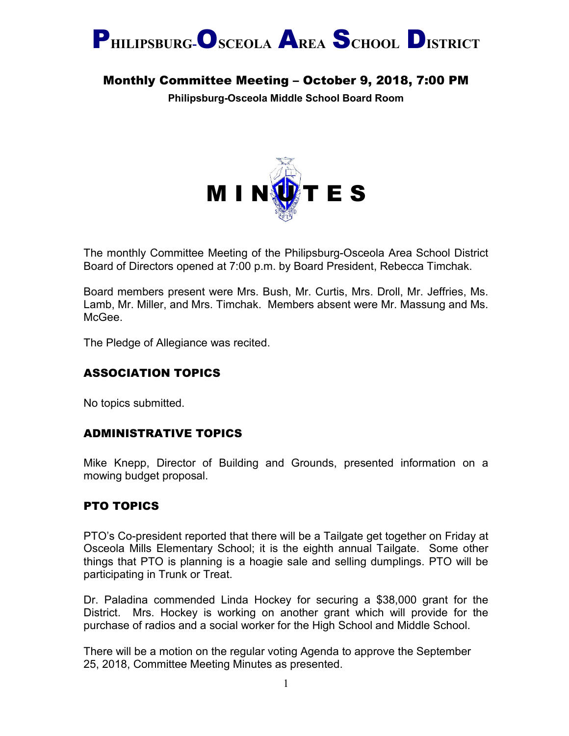

# Monthly Committee Meeting – October 9, 2018, 7:00 PM

**Philipsburg-Osceola Middle School Board Room**



The monthly Committee Meeting of the Philipsburg-Osceola Area School District Board of Directors opened at 7:00 p.m. by Board President, Rebecca Timchak.

Board members present were Mrs. Bush, Mr. Curtis, Mrs. Droll, Mr. Jeffries, Ms. Lamb, Mr. Miller, and Mrs. Timchak. Members absent were Mr. Massung and Ms. McGee.

The Pledge of Allegiance was recited.

## ASSOCIATION TOPICS

No topics submitted.

## ADMINISTRATIVE TOPICS

Mike Knepp, Director of Building and Grounds, presented information on a mowing budget proposal.

## PTO TOPICS

PTO's Co-president reported that there will be a Tailgate get together on Friday at Osceola Mills Elementary School; it is the eighth annual Tailgate. Some other things that PTO is planning is a hoagie sale and selling dumplings. PTO will be participating in Trunk or Treat.

Dr. Paladina commended Linda Hockey for securing a \$38,000 grant for the District. Mrs. Hockey is working on another grant which will provide for the purchase of radios and a social worker for the High School and Middle School.

There will be a motion on the regular voting Agenda to approve the September 25, 2018, Committee Meeting Minutes as presented.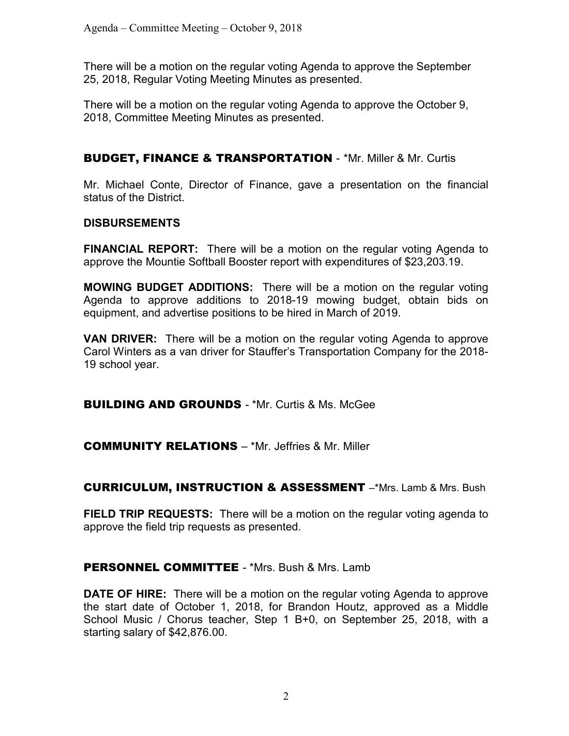There will be a motion on the regular voting Agenda to approve the September 25, 2018, Regular Voting Meeting Minutes as presented.

There will be a motion on the regular voting Agenda to approve the October 9, 2018, Committee Meeting Minutes as presented.

## BUDGET, FINANCE & TRANSPORTATION - \*Mr. Miller & Mr. Curtis

Mr. Michael Conte, Director of Finance, gave a presentation on the financial status of the District.

#### **DISBURSEMENTS**

**FINANCIAL REPORT:** There will be a motion on the regular voting Agenda to approve the Mountie Softball Booster report with expenditures of \$23,203.19.

**MOWING BUDGET ADDITIONS:** There will be a motion on the regular voting Agenda to approve additions to 2018-19 mowing budget, obtain bids on equipment, and advertise positions to be hired in March of 2019.

**VAN DRIVER:** There will be a motion on the regular voting Agenda to approve Carol Winters as a van driver for Stauffer's Transportation Company for the 2018- 19 school year.

**BUILDING AND GROUNDS - \*Mr. Curtis & Ms. McGee** 

COMMUNITY RELATIONS – \*Mr. Jeffries & Mr. Miller

CURRICULUM, INSTRUCTION & ASSESSMENT –\*Mrs. Lamb & Mrs. Bush

**FIELD TRIP REQUESTS:** There will be a motion on the regular voting agenda to approve the field trip requests as presented.

## **PERSONNEL COMMITTEE - \*Mrs. Bush & Mrs. Lamb**

**DATE OF HIRE:** There will be a motion on the regular voting Agenda to approve the start date of October 1, 2018, for Brandon Houtz, approved as a Middle School Music / Chorus teacher, Step 1 B+0, on September 25, 2018, with a starting salary of \$42,876.00.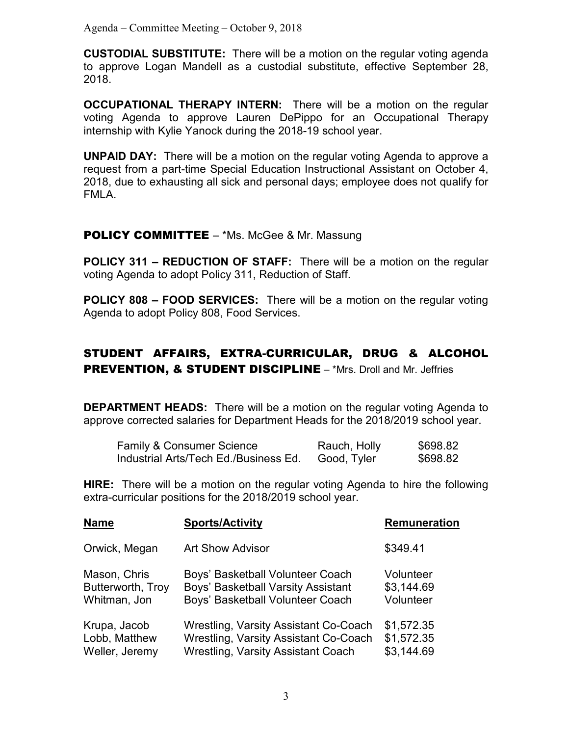Agenda – Committee Meeting – October 9, 2018

**CUSTODIAL SUBSTITUTE:** There will be a motion on the regular voting agenda to approve Logan Mandell as a custodial substitute, effective September 28, 2018.

**OCCUPATIONAL THERAPY INTERN:** There will be a motion on the regular voting Agenda to approve Lauren DePippo for an Occupational Therapy internship with Kylie Yanock during the 2018-19 school year.

**UNPAID DAY:** There will be a motion on the regular voting Agenda to approve a request from a part-time Special Education Instructional Assistant on October 4, 2018, due to exhausting all sick and personal days; employee does not qualify for FMLA.

#### **POLICY COMMITTEE** – \*Ms. McGee & Mr. Massung

**POLICY 311 – REDUCTION OF STAFF:** There will be a motion on the regular voting Agenda to adopt Policy 311, Reduction of Staff.

**POLICY 808 – FOOD SERVICES:** There will be a motion on the regular voting Agenda to adopt Policy 808, Food Services.

## STUDENT AFFAIRS, EXTRA-CURRICULAR, DRUG & ALCOHOL PREVENTION, & STUDENT DISCIPLINE – \*Mrs. Droll and Mr. Jeffries

**DEPARTMENT HEADS:** There will be a motion on the regular voting Agenda to approve corrected salaries for Department Heads for the 2018/2019 school year.

| <b>Family &amp; Consumer Science</b>  | Rauch, Holly | \$698.82 |
|---------------------------------------|--------------|----------|
| Industrial Arts/Tech Ed./Business Ed. | Good, Tyler  | \$698.82 |

**HIRE:** There will be a motion on the regular voting Agenda to hire the following extra-curricular positions for the 2018/2019 school year.

| <b>Name</b>       | <b>Sports/Activity</b>                       | Remuneration |
|-------------------|----------------------------------------------|--------------|
| Orwick, Megan     | <b>Art Show Advisor</b>                      | \$349.41     |
| Mason, Chris      | Boys' Basketball Volunteer Coach             | Volunteer    |
| Butterworth, Troy | Boys' Basketball Varsity Assistant           | \$3,144.69   |
| Whitman, Jon      | Boys' Basketball Volunteer Coach             | Volunteer    |
| Krupa, Jacob      | <b>Wrestling, Varsity Assistant Co-Coach</b> | \$1,572.35   |
| Lobb, Matthew     | <b>Wrestling, Varsity Assistant Co-Coach</b> | \$1,572.35   |
| Weller, Jeremy    | <b>Wrestling, Varsity Assistant Coach</b>    | \$3,144.69   |